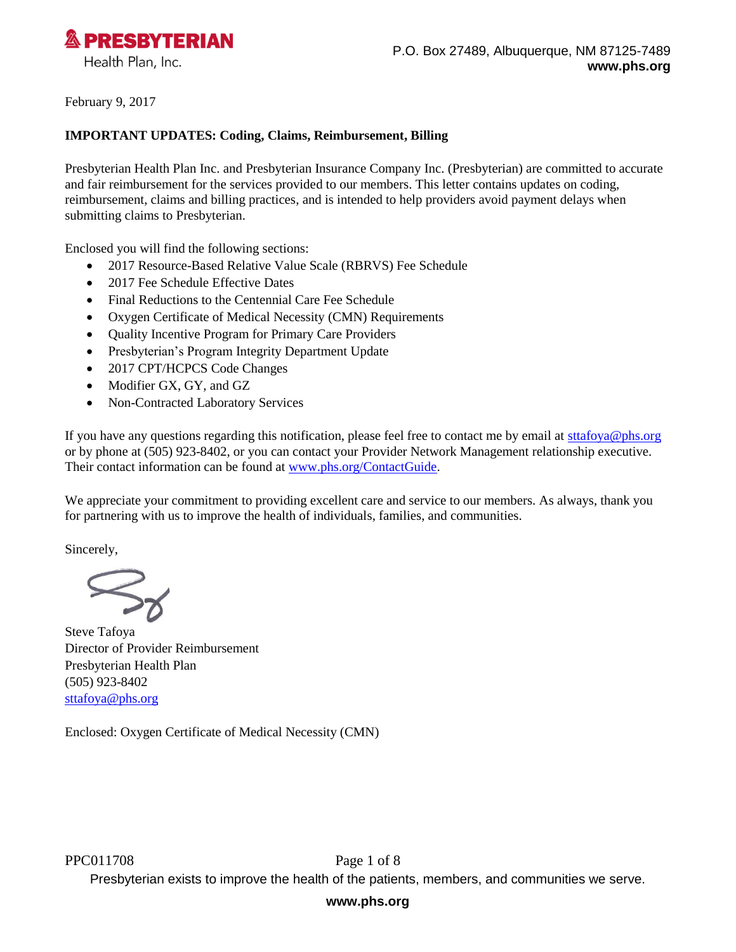

February 9, 2017

#### **IMPORTANT UPDATES: Coding, Claims, Reimbursement, Billing**

Presbyterian Health Plan Inc. and Presbyterian Insurance Company Inc. (Presbyterian) are committed to accurate and fair reimbursement for the services provided to our members. This letter contains updates on coding, reimbursement, claims and billing practices, and is intended to help providers avoid payment delays when submitting claims to Presbyterian.

Enclosed you will find the following sections:

- 2017 Resource-Based Relative Value Scale (RBRVS) Fee Schedule
- 2017 Fee Schedule Effective Dates
- Final Reductions to the Centennial Care Fee Schedule
- Oxygen Certificate of Medical Necessity (CMN) Requirements
- Quality Incentive Program for Primary Care Providers
- Presbyterian's Program Integrity Department Update
- 2017 CPT/HCPCS Code Changes
- Modifier GX, GY, and GZ
- Non-Contracted Laboratory Services

If you have any questions regarding this notification, please feel free to contact me by email at [sttafoya@phs.org](mailto:sttafoya@phs.org) or by phone at (505) 923-8402, or you can contact your Provider Network Management relationship executive. Their contact information can be found at [www.phs.org/ContactGuide.](http://www.phs.org/ContactGuide)

We appreciate your commitment to providing excellent care and service to our members. As always, thank you for partnering with us to improve the health of individuals, families, and communities.

Sincerely,

Steve Tafoya Director of Provider Reimbursement Presbyterian Health Plan (505) 923-8402 [sttafoya@phs.org](mailto:sttafoya@phs.org)

Enclosed: Oxygen Certificate of Medical Necessity (CMN)

PPC011708 Page 1 of 8 Presbyterian exists to improve the health of the patients, members, and communities we serve.

## **www.phs.org**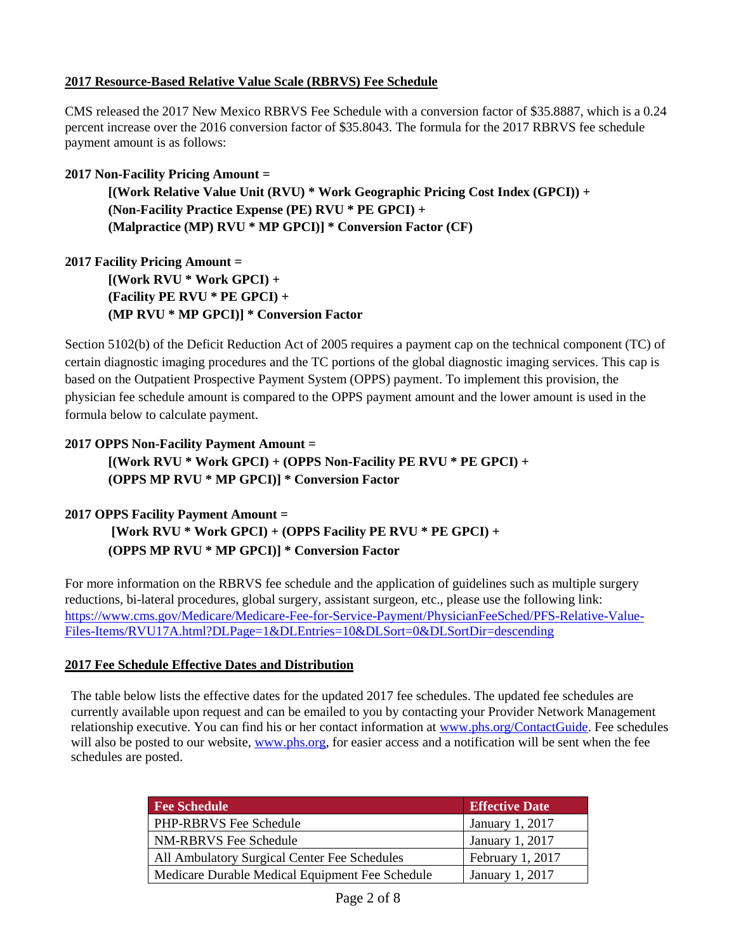## **2017 Resource-Based Relative Value Scale (RBRVS) Fee Schedule**

CMS released the 2017 New Mexico RBRVS Fee Schedule with a conversion factor of \$35.8887, which is a 0.24 percent increase over the 2016 conversion factor of \$35.8043. The formula for the 2017 RBRVS fee schedule payment amount is as follows:

#### **2017 Non-Facility Pricing Amount =**

**[(Work Relative Value Unit (RVU) \* Work Geographic Pricing Cost Index (GPCI)) + (Non-Facility Practice Expense (PE) RVU \* PE GPCI) + (Malpractice (MP) RVU \* MP GPCI)] \* Conversion Factor (CF)**

**2017 Facility Pricing Amount = [(Work RVU \* Work GPCI) + (Facility PE RVU \* PE GPCI) + (MP RVU \* MP GPCI)] \* Conversion Factor** 

Section 5102(b) of the Deficit Reduction Act of 2005 requires a payment cap on the technical component (TC) of certain diagnostic imaging procedures and the TC portions of the global diagnostic imaging services. This cap is based on the Outpatient Prospective Payment System (OPPS) payment. To implement this provision, the physician fee schedule amount is compared to the OPPS payment amount and the lower amount is used in the formula below to calculate payment.

# **2017 OPPS Non-Facility Payment Amount = [(Work RVU \* Work GPCI) + (OPPS Non-Facility PE RVU \* PE GPCI) + (OPPS MP RVU \* MP GPCI)] \* Conversion Factor**

#### **2017 OPPS Facility Payment Amount =**

**[Work RVU \* Work GPCI) + (OPPS Facility PE RVU \* PE GPCI) + (OPPS MP RVU \* MP GPCI)] \* Conversion Factor** 

For more information on the RBRVS fee schedule and the application of guidelines such as multiple surgery reductions, bi-lateral procedures, global surgery, assistant surgeon, etc., please use the following link: [https://www.cms.gov/Medicare/Medicare-Fee-for-Service-Payment/PhysicianFeeSched/PFS-Relative-Value-](https://www.cms.gov/Medicare/Medicare-Fee-for-Service-Payment/PhysicianFeeSched/PFS-Relative-Value-Files-Items/RVU17A.html?DLPage=1&DLEntries=10&DLSort=0&DLSortDir=descending)[Files-Items/RVU17A.html?DLPage=1&DLEntries=10&DLSort=0&DLSortDir=descending](https://www.cms.gov/Medicare/Medicare-Fee-for-Service-Payment/PhysicianFeeSched/PFS-Relative-Value-Files-Items/RVU17A.html?DLPage=1&DLEntries=10&DLSort=0&DLSortDir=descending)

#### **2017 Fee Schedule Effective Dates and Distribution**

The table below lists the effective dates for the updated 2017 fee schedules. The updated fee schedules are currently available upon request and can be emailed to you by contacting your Provider Network Management relationship executive. You can find his or her contact information at [www.phs.org/ContactGuide.](http://www.phs.org/ContactGuide) Fee schedules will also be posted to our website, [www.phs.org,](http://www.phs.org/) for easier access and a notification will be sent when the fee schedules are posted.

| <b>Fee Schedule</b>                             | <b>Effective Date</b> |
|-------------------------------------------------|-----------------------|
| PHP-RBRVS Fee Schedule                          | January 1, 2017       |
| NM-RBRVS Fee Schedule                           | January 1, 2017       |
| All Ambulatory Surgical Center Fee Schedules    | February 1, 2017      |
| Medicare Durable Medical Equipment Fee Schedule | January 1, 2017       |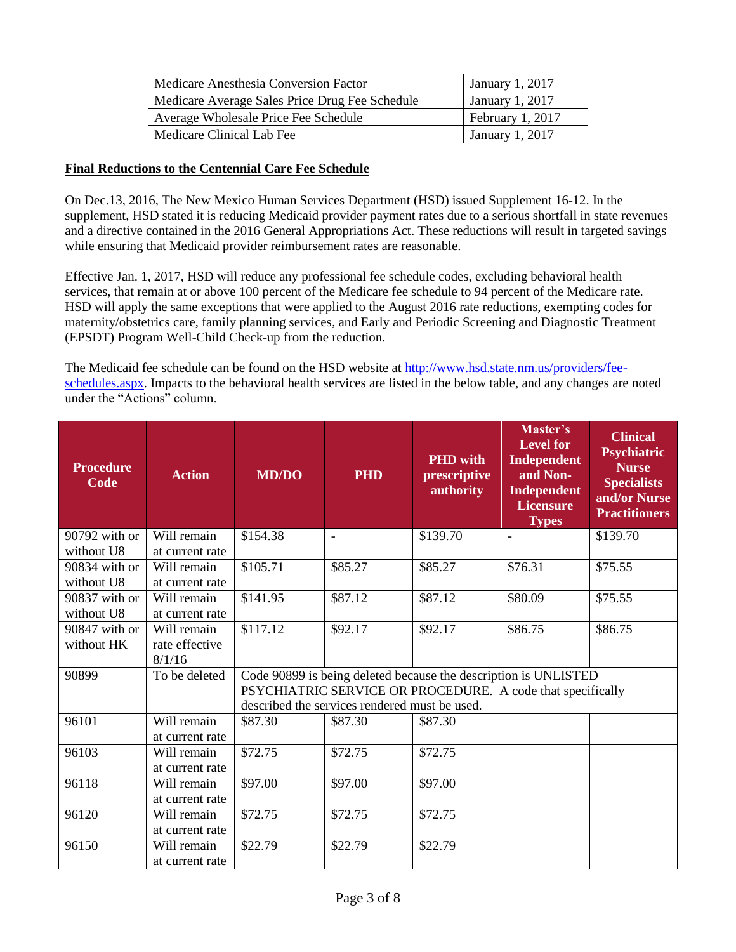| Medicare Anesthesia Conversion Factor          | January 1, 2017        |
|------------------------------------------------|------------------------|
| Medicare Average Sales Price Drug Fee Schedule | January 1, 2017        |
| Average Wholesale Price Fee Schedule           | February 1, 2017       |
| Medicare Clinical Lab Fee                      | <b>January 1, 2017</b> |

#### **Final Reductions to the Centennial Care Fee Schedule**

On Dec.13, 2016, The New Mexico Human Services Department (HSD) issued Supplement 16-12. In the supplement, HSD stated it is reducing Medicaid provider payment rates due to a serious shortfall in state revenues and a directive contained in the 2016 General Appropriations Act. These reductions will result in targeted savings while ensuring that Medicaid provider reimbursement rates are reasonable.

Effective Jan. 1, 2017, HSD will reduce any professional fee schedule codes, excluding behavioral health services, that remain at or above 100 percent of the Medicare fee schedule to 94 percent of the Medicare rate. HSD will apply the same exceptions that were applied to the August 2016 rate reductions, exempting codes for maternity/obstetrics care, family planning services, and Early and Periodic Screening and Diagnostic Treatment (EPSDT) Program Well-Child Check-up from the reduction.

The Medicaid fee schedule can be found on the HSD website at [http://www.hsd.state.nm.us/providers/fee](http://www.hsd.state.nm.us/providers/fee-schedules.aspx)[schedules.aspx.](http://www.hsd.state.nm.us/providers/fee-schedules.aspx) Impacts to the behavioral health services are listed in the below table, and any changes are noted under the "Actions" column.

| <b>Procedure</b><br>Code    | <b>Action</b>                           | <b>MD/DO</b>                                                                                                                                                                   | <b>PHD</b>     | <b>PHD</b> with<br>prescriptive<br>authority | Master's<br><b>Level for</b><br>Independent<br>and Non-<br><b>Independent</b><br><b>Licensure</b><br><b>Types</b> | <b>Clinical</b><br>Psychiatric<br><b>Nurse</b><br><b>Specialists</b><br>and/or Nurse<br><b>Practitioners</b> |
|-----------------------------|-----------------------------------------|--------------------------------------------------------------------------------------------------------------------------------------------------------------------------------|----------------|----------------------------------------------|-------------------------------------------------------------------------------------------------------------------|--------------------------------------------------------------------------------------------------------------|
| 90792 with or<br>without U8 | Will remain<br>at current rate          | \$154.38                                                                                                                                                                       | $\blacksquare$ | \$139.70                                     | $\blacksquare$                                                                                                    | \$139.70                                                                                                     |
| 90834 with or<br>without U8 | Will remain<br>at current rate          | \$105.71                                                                                                                                                                       | \$85.27        | \$85.27                                      | \$76.31                                                                                                           | \$75.55                                                                                                      |
| 90837 with or<br>without U8 | Will remain<br>at current rate          | \$141.95                                                                                                                                                                       | \$87.12        | \$87.12                                      | \$80.09                                                                                                           | \$75.55                                                                                                      |
| 90847 with or<br>without HK | Will remain<br>rate effective<br>8/1/16 | \$117.12                                                                                                                                                                       | \$92.17        | \$92.17                                      | \$86.75                                                                                                           | \$86.75                                                                                                      |
| 90899                       | To be deleted                           | Code 90899 is being deleted because the description is UNLISTED<br>PSYCHIATRIC SERVICE OR PROCEDURE. A code that specifically<br>described the services rendered must be used. |                |                                              |                                                                                                                   |                                                                                                              |
| 96101                       | Will remain<br>at current rate          | \$87.30                                                                                                                                                                        | \$87.30        | \$87.30                                      |                                                                                                                   |                                                                                                              |
| 96103                       | Will remain<br>at current rate          | \$72.75                                                                                                                                                                        | \$72.75        | \$72.75                                      |                                                                                                                   |                                                                                                              |
| 96118                       | Will remain<br>at current rate          | \$97.00                                                                                                                                                                        | \$97.00        | \$97.00                                      |                                                                                                                   |                                                                                                              |
| 96120                       | Will remain<br>at current rate          | \$72.75                                                                                                                                                                        | \$72.75        | \$72.75                                      |                                                                                                                   |                                                                                                              |
| 96150                       | Will remain<br>at current rate          | \$22.79                                                                                                                                                                        | \$22.79        | \$22.79                                      |                                                                                                                   |                                                                                                              |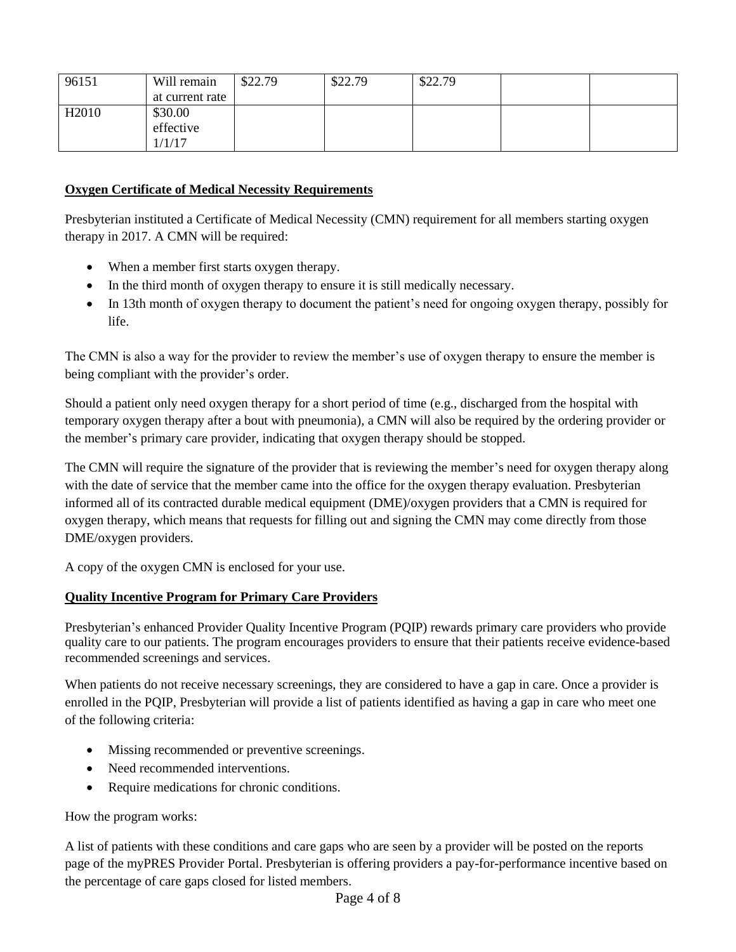| 96151             | Will remain     | \$22.79 | \$22.79 | \$22.79 |  |
|-------------------|-----------------|---------|---------|---------|--|
|                   | at current rate |         |         |         |  |
| H <sub>2010</sub> | \$30.00         |         |         |         |  |
|                   | effective       |         |         |         |  |
|                   | 1/1/17          |         |         |         |  |

## **Oxygen Certificate of Medical Necessity Requirements**

Presbyterian instituted a Certificate of Medical Necessity (CMN) requirement for all members starting oxygen therapy in 2017. A CMN will be required:

- When a member first starts oxygen therapy.
- In the third month of oxygen therapy to ensure it is still medically necessary.
- In 13th month of oxygen therapy to document the patient's need for ongoing oxygen therapy, possibly for life.

The CMN is also a way for the provider to review the member's use of oxygen therapy to ensure the member is being compliant with the provider's order.

Should a patient only need oxygen therapy for a short period of time (e.g., discharged from the hospital with temporary oxygen therapy after a bout with pneumonia), a CMN will also be required by the ordering provider or the member's primary care provider, indicating that oxygen therapy should be stopped.

The CMN will require the signature of the provider that is reviewing the member's need for oxygen therapy along with the date of service that the member came into the office for the oxygen therapy evaluation. Presbyterian informed all of its contracted durable medical equipment (DME)/oxygen providers that a CMN is required for oxygen therapy, which means that requests for filling out and signing the CMN may come directly from those DME/oxygen providers.

A copy of the oxygen CMN is enclosed for your use.

## **Quality Incentive Program for Primary Care Providers**

Presbyterian's enhanced Provider Quality Incentive Program (PQIP) rewards primary care providers who provide quality care to our patients. The program encourages providers to ensure that their patients receive evidence-based recommended screenings and services.

When patients do not receive necessary screenings, they are considered to have a gap in care. Once a provider is enrolled in the PQIP, Presbyterian will provide a list of patients identified as having a gap in care who meet one of the following criteria:

- Missing recommended or preventive screenings.
- Need recommended interventions.
- Require medications for chronic conditions.

## How the program works:

A list of patients with these conditions and care gaps who are seen by a provider will be posted on the reports page of the myPRES Provider Portal. Presbyterian is offering providers a pay-for-performance incentive based on the percentage of care gaps closed for listed members.

# Page 4 of 8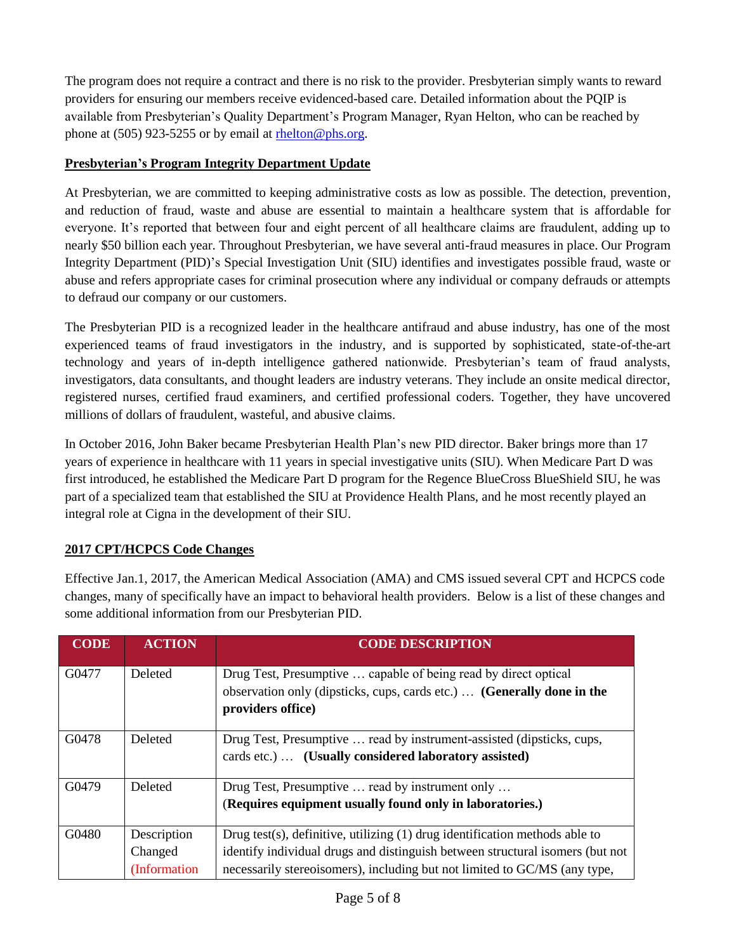The program does not require a contract and there is no risk to the provider. Presbyterian simply wants to reward providers for ensuring our members receive evidenced-based care. Detailed information about the PQIP is available from Presbyterian's Quality Department's Program Manager, Ryan Helton, who can be reached by phone at (505) 923-5255 or by email at [rhelton@phs.org.](mailto:rhelton@phs.org)

# **Presbyterian's Program Integrity Department Update**

At Presbyterian, we are committed to keeping administrative costs as low as possible. The detection, prevention, and reduction of fraud, waste and abuse are essential to maintain a healthcare system that is affordable for everyone. It's reported that between four and eight percent of all healthcare claims are fraudulent, adding up to nearly \$50 billion each year. Throughout Presbyterian, we have several anti-fraud measures in place. Our Program Integrity Department (PID)'s Special Investigation Unit (SIU) identifies and investigates possible fraud, waste or abuse and refers appropriate cases for criminal prosecution where any individual or company defrauds or attempts to defraud our company or our customers.

The Presbyterian PID is a recognized leader in the healthcare antifraud and abuse industry, has one of the most experienced teams of fraud investigators in the industry, and is supported by sophisticated, state-of-the-art technology and years of in-depth intelligence gathered nationwide. Presbyterian's team of fraud analysts, investigators, data consultants, and thought leaders are industry veterans. They include an onsite medical director, registered nurses, certified fraud examiners, and certified professional coders. Together, they have uncovered millions of dollars of fraudulent, wasteful, and abusive claims.

In October 2016, John Baker became Presbyterian Health Plan's new PID director. Baker brings more than 17 years of experience in healthcare with 11 years in special investigative units (SIU). When Medicare Part D was first introduced, he established the Medicare Part D program for the Regence BlueCross BlueShield SIU, he was part of a specialized team that established the SIU at Providence Health Plans, and he most recently played an integral role at Cigna in the development of their SIU.

# **2017 CPT/HCPCS Code Changes**

Effective Jan.1, 2017, the American Medical Association (AMA) and CMS issued several CPT and HCPCS code changes, many of specifically have an impact to behavioral health providers. Below is a list of these changes and some additional information from our Presbyterian PID.

| <b>CODE</b> | <b>ACTION</b>                           | <b>CODE DESCRIPTION</b>                                                                                                                                                                                                                     |
|-------------|-----------------------------------------|---------------------------------------------------------------------------------------------------------------------------------------------------------------------------------------------------------------------------------------------|
| G0477       | Deleted                                 | Drug Test, Presumptive  capable of being read by direct optical<br>observation only (dipsticks, cups, cards etc.)  (Generally done in the<br>providers office)                                                                              |
| G0478       | Deleted                                 | Drug Test, Presumptive  read by instrument-assisted (dipsticks, cups,<br>cards etc.)  (Usually considered laboratory assisted)                                                                                                              |
| G0479       | Deleted                                 | Drug Test, Presumptive  read by instrument only<br>(Requires equipment usually found only in laboratories.)                                                                                                                                 |
| G0480       | Description<br>Changed<br>(Information) | Drug test(s), definitive, utilizing $(1)$ drug identification methods able to<br>identify individual drugs and distinguish between structural isomers (but not<br>necessarily stereoisomers), including but not limited to GC/MS (any type, |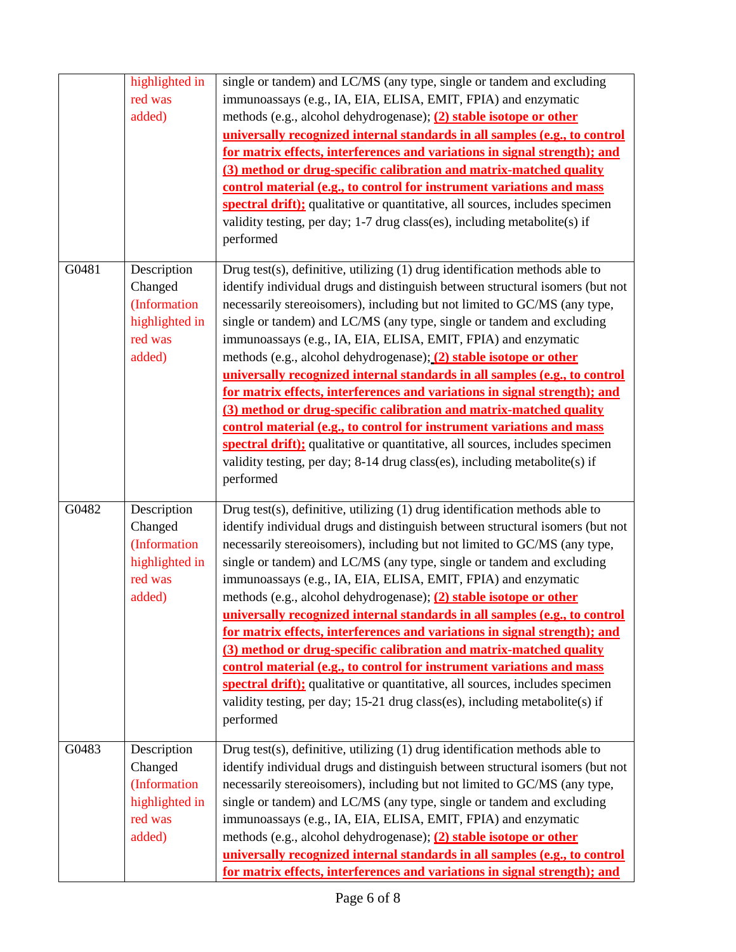|       | highlighted in<br>red was<br>added)                                           | single or tandem) and LC/MS (any type, single or tandem and excluding<br>immunoassays (e.g., IA, EIA, ELISA, EMIT, FPIA) and enzymatic<br>methods (e.g., alcohol dehydrogenase); (2) stable isotope or other<br>universally recognized internal standards in all samples (e.g., to control<br>for matrix effects, interferences and variations in signal strength); and<br>(3) method or drug-specific calibration and matrix-matched quality<br>control material (e.g., to control for instrument variations and mass<br>spectral drift); qualitative or quantitative, all sources, includes specimen<br>validity testing, per day; 1-7 drug class(es), including metabolite(s) if<br>performed                                                                                                                                                                                                                                                |
|-------|-------------------------------------------------------------------------------|-------------------------------------------------------------------------------------------------------------------------------------------------------------------------------------------------------------------------------------------------------------------------------------------------------------------------------------------------------------------------------------------------------------------------------------------------------------------------------------------------------------------------------------------------------------------------------------------------------------------------------------------------------------------------------------------------------------------------------------------------------------------------------------------------------------------------------------------------------------------------------------------------------------------------------------------------|
| G0481 | Description<br>Changed<br>(Information<br>highlighted in<br>red was<br>added) | Drug test(s), definitive, utilizing (1) drug identification methods able to<br>identify individual drugs and distinguish between structural isomers (but not<br>necessarily stereoisomers), including but not limited to GC/MS (any type,<br>single or tandem) and LC/MS (any type, single or tandem and excluding<br>immunoassays (e.g., IA, EIA, ELISA, EMIT, FPIA) and enzymatic<br>methods (e.g., alcohol dehydrogenase); (2) stable isotope or other<br>universally recognized internal standards in all samples (e.g., to control<br>for matrix effects, interferences and variations in signal strength); and<br>(3) method or drug-specific calibration and matrix-matched quality<br>control material (e.g., to control for instrument variations and mass<br>spectral drift); qualitative or quantitative, all sources, includes specimen<br>validity testing, per day; 8-14 drug class(es), including metabolite(s) if<br>performed  |
| G0482 | Description<br>Changed<br>(Information<br>highlighted in<br>red was<br>added) | Drug test(s), definitive, utilizing (1) drug identification methods able to<br>identify individual drugs and distinguish between structural isomers (but not<br>necessarily stereoisomers), including but not limited to GC/MS (any type,<br>single or tandem) and LC/MS (any type, single or tandem and excluding<br>immunoassays (e.g., IA, EIA, ELISA, EMIT, FPIA) and enzymatic<br>methods (e.g., alcohol dehydrogenase); (2) stable isotope or other<br>universally recognized internal standards in all samples (e.g., to control<br>for matrix effects, interferences and variations in signal strength); and<br>(3) method or drug-specific calibration and matrix-matched quality<br>control material (e.g., to control for instrument variations and mass<br>spectral drift); qualitative or quantitative, all sources, includes specimen<br>validity testing, per day; 15-21 drug class(es), including metabolite(s) if<br>performed |
| G0483 | Description<br>Changed<br>(Information<br>highlighted in<br>red was<br>added) | Drug test(s), definitive, utilizing $(1)$ drug identification methods able to<br>identify individual drugs and distinguish between structural isomers (but not<br>necessarily stereoisomers), including but not limited to GC/MS (any type,<br>single or tandem) and LC/MS (any type, single or tandem and excluding<br>immunoassays (e.g., IA, EIA, ELISA, EMIT, FPIA) and enzymatic<br>methods (e.g., alcohol dehydrogenase); (2) stable isotope or other<br>universally recognized internal standards in all samples (e.g., to control<br>for matrix effects, interferences and variations in signal strength); and                                                                                                                                                                                                                                                                                                                          |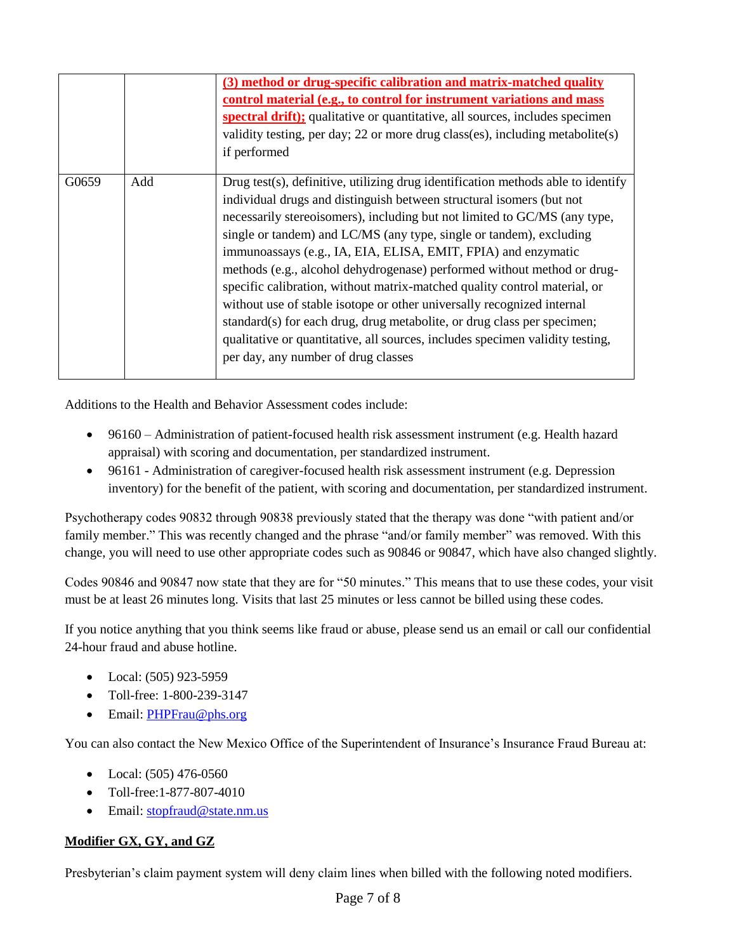|       |     | (3) method or drug-specific calibration and matrix-matched quality<br>control material (e.g., to control for instrument variations and mass<br>spectral drift); qualitative or quantitative, all sources, includes specimen<br>validity testing, per day; 22 or more drug class(es), including metabolite(s)<br>if performed                                                                                                                                                                                                                                                                                                                                                                                                                                                                                       |
|-------|-----|--------------------------------------------------------------------------------------------------------------------------------------------------------------------------------------------------------------------------------------------------------------------------------------------------------------------------------------------------------------------------------------------------------------------------------------------------------------------------------------------------------------------------------------------------------------------------------------------------------------------------------------------------------------------------------------------------------------------------------------------------------------------------------------------------------------------|
| G0659 | Add | Drug test(s), definitive, utilizing drug identification methods able to identify<br>individual drugs and distinguish between structural isomers (but not<br>necessarily stereoisomers), including but not limited to GC/MS (any type,<br>single or tandem) and LC/MS (any type, single or tandem), excluding<br>immunoassays (e.g., IA, EIA, ELISA, EMIT, FPIA) and enzymatic<br>methods (e.g., alcohol dehydrogenase) performed without method or drug-<br>specific calibration, without matrix-matched quality control material, or<br>without use of stable isotope or other universally recognized internal<br>standard(s) for each drug, drug metabolite, or drug class per specimen;<br>qualitative or quantitative, all sources, includes specimen validity testing,<br>per day, any number of drug classes |

Additions to the Health and Behavior Assessment codes include:

- 96160 Administration of patient-focused health risk assessment instrument (e.g. Health hazard appraisal) with scoring and documentation, per standardized instrument.
- 96161 Administration of caregiver-focused health risk assessment instrument (e.g. Depression inventory) for the benefit of the patient, with scoring and documentation, per standardized instrument.

Psychotherapy codes 90832 through 90838 previously stated that the therapy was done "with patient and/or family member." This was recently changed and the phrase "and/or family member" was removed. With this change, you will need to use other appropriate codes such as 90846 or 90847, which have also changed slightly.

Codes 90846 and 90847 now state that they are for "50 minutes." This means that to use these codes, your visit must be at least 26 minutes long. Visits that last 25 minutes or less cannot be billed using these codes.

If you notice anything that you think seems like fraud or abuse, please send us an email or call our confidential 24-hour fraud and abuse hotline.

- $\bullet$  Local: (505) 923-5959
- Toll-free: 1-800-239-3147
- Email: [PHPFrau@phs.org](mailto:PHPFrau@phs.org)

You can also contact the New Mexico Office of the Superintendent of Insurance's Insurance Fraud Bureau at:

- $\bullet$  Local: (505) 476-0560
- Toll-free:1-877-807-4010
- Email: [stopfraud@state.nm.us](mailto:stopfraud@state.nm.us)

# **Modifier GX, GY, and GZ**

Presbyterian's claim payment system will deny claim lines when billed with the following noted modifiers.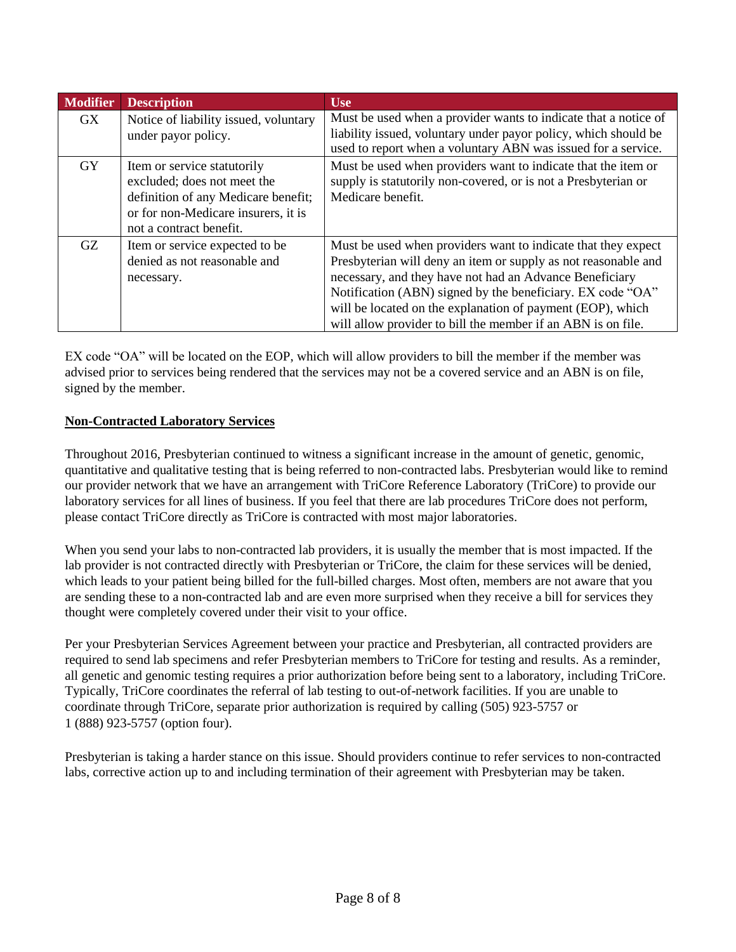| <b>Modifier</b> | <b>Description</b>                                                                                                                                                  | <b>Use</b>                                                                                                                                                                                                                                                                                                                                                                             |
|-----------------|---------------------------------------------------------------------------------------------------------------------------------------------------------------------|----------------------------------------------------------------------------------------------------------------------------------------------------------------------------------------------------------------------------------------------------------------------------------------------------------------------------------------------------------------------------------------|
| GX              | Notice of liability issued, voluntary<br>under payor policy.                                                                                                        | Must be used when a provider wants to indicate that a notice of<br>liability issued, voluntary under payor policy, which should be<br>used to report when a voluntary ABN was issued for a service.                                                                                                                                                                                    |
| <b>GY</b>       | Item or service statutorily<br>excluded; does not meet the<br>definition of any Medicare benefit;<br>or for non-Medicare insurers, it is<br>not a contract benefit. | Must be used when providers want to indicate that the item or<br>supply is statutorily non-covered, or is not a Presbyterian or<br>Medicare benefit.                                                                                                                                                                                                                                   |
| GZ              | Item or service expected to be<br>denied as not reasonable and<br>necessary.                                                                                        | Must be used when providers want to indicate that they expect<br>Presbyterian will deny an item or supply as not reasonable and<br>necessary, and they have not had an Advance Beneficiary<br>Notification (ABN) signed by the beneficiary. EX code "OA"<br>will be located on the explanation of payment (EOP), which<br>will allow provider to bill the member if an ABN is on file. |

EX code "OA" will be located on the EOP, which will allow providers to bill the member if the member was advised prior to services being rendered that the services may not be a covered service and an ABN is on file, signed by the member.

## **Non-Contracted Laboratory Services**

Throughout 2016, Presbyterian continued to witness a significant increase in the amount of genetic, genomic, quantitative and qualitative testing that is being referred to non-contracted labs. Presbyterian would like to remind our provider network that we have an arrangement with TriCore Reference Laboratory (TriCore) to provide our laboratory services for all lines of business. If you feel that there are lab procedures TriCore does not perform, please contact TriCore directly as TriCore is contracted with most major laboratories.

When you send your labs to non-contracted lab providers, it is usually the member that is most impacted. If the lab provider is not contracted directly with Presbyterian or TriCore, the claim for these services will be denied, which leads to your patient being billed for the full-billed charges. Most often, members are not aware that you are sending these to a non-contracted lab and are even more surprised when they receive a bill for services they thought were completely covered under their visit to your office.

Per your Presbyterian Services Agreement between your practice and Presbyterian, all contracted providers are required to send lab specimens and refer Presbyterian members to TriCore for testing and results. As a reminder, all genetic and genomic testing requires a prior authorization before being sent to a laboratory, including TriCore. Typically, TriCore coordinates the referral of lab testing to out-of-network facilities. If you are unable to coordinate through TriCore, separate prior authorization is required by calling (505) 923-5757 or 1 (888) 923-5757 (option four).

Presbyterian is taking a harder stance on this issue. Should providers continue to refer services to non-contracted labs, corrective action up to and including termination of their agreement with Presbyterian may be taken.